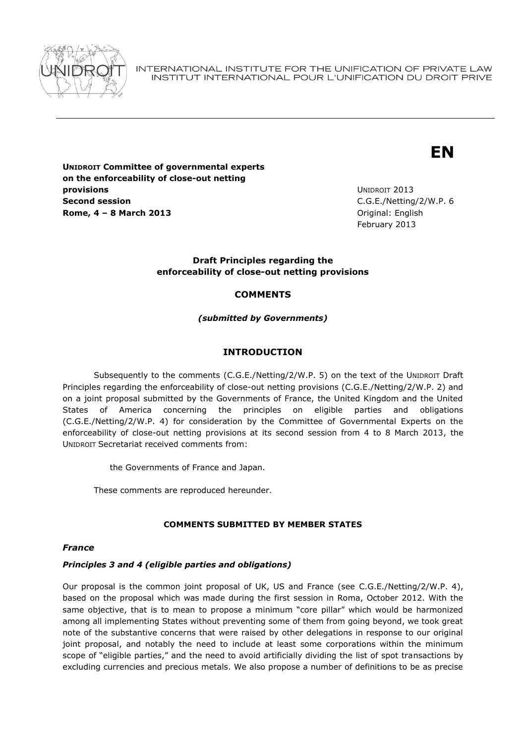

INTERNATIONAL INSTITUTE FOR THE UNIFICATION OF PRIVATE LAW INSTITUT INTERNATIONAL POUR L'UNIFICATION DU DROIT PRIVE

# **EN**

**UNIDROIT Committee of governmental experts on the enforceability of close-out netting provisions Second session Rome, 4 – 8 March 2013** Original: English

UNIDROIT 2013 C.G.E./Netting/2/W.P. 6 February 2013

### **Draft Principles regarding the enforceability of close-out netting provisions**

## **COMMENTS**

### *(submitted by Governments)*

## **INTRODUCTION**

Subsequently to the comments (C.G.E./Netting/2/W.P. 5) on the text of the UNIDROIT Draft Principles regarding the enforceability of close-out netting provisions (C.G.E./Netting/2/W.P. 2) and on a joint proposal submitted by the Governments of France, the United Kingdom and the United States of America concerning the principles on eligible parties and obligations (C.G.E./Netting/2/W.P. 4) for consideration by the Committee of Governmental Experts on the enforceability of close-out netting provisions at its second session from 4 to 8 March 2013, the UNIDROIT Secretariat received comments from:

the Governments of France and Japan.

These comments are reproduced hereunder.

### **COMMENTS SUBMITTED BY MEMBER STATES**

### *France*

### *Principles 3 and 4 (eligible parties and obligations)*

Our proposal is the common joint proposal of UK, US and France (see C.G.E./Netting/2/W.P. 4), based on the proposal which was made during the first session in Roma, October 2012. With the same objective, that is to mean to propose a minimum "core pillar" which would be harmonized among all implementing States without preventing some of them from going beyond, we took great note of the substantive concerns that were raised by other delegations in response to our original joint proposal, and notably the need to include at least some corporations within the minimum scope of "eligible parties," and the need to avoid artificially dividing the list of spot transactions by excluding currencies and precious metals. We also propose a number of definitions to be as precise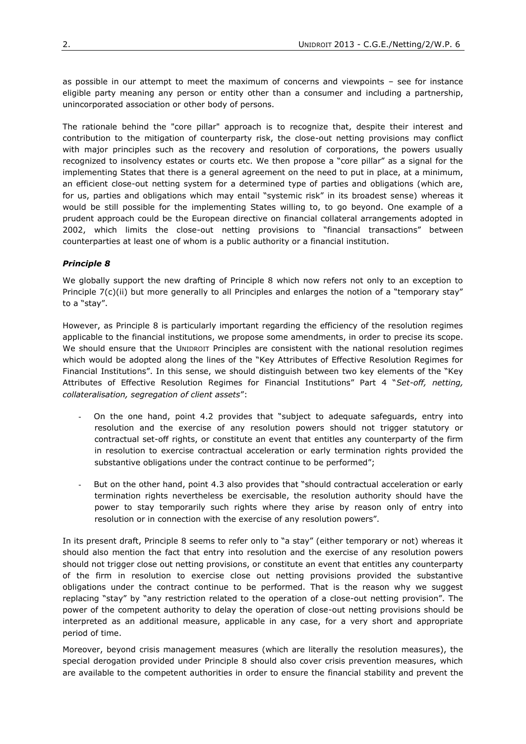as possible in our attempt to meet the maximum of concerns and viewpoints – see for instance eligible party meaning any person or entity other than a consumer and including a partnership, unincorporated association or other body of persons.

The rationale behind the "core pillar" approach is to recognize that, despite their interest and contribution to the mitigation of counterparty risk, the close-out netting provisions may conflict with major principles such as the recovery and resolution of corporations, the powers usually recognized to insolvency estates or courts etc. We then propose a "core pillar" as a signal for the implementing States that there is a general agreement on the need to put in place, at a minimum, an efficient close-out netting system for a determined type of parties and obligations (which are, for us, parties and obligations which may entail "systemic risk" in its broadest sense) whereas it would be still possible for the implementing States willing to, to go beyond. One example of a prudent approach could be the European directive on financial collateral arrangements adopted in 2002, which limits the close-out netting provisions to "financial transactions" between counterparties at least one of whom is a public authority or a financial institution.

### *Principle 8*

We globally support the new drafting of Principle 8 which now refers not only to an exception to Principle 7(c)(ii) but more generally to all Principles and enlarges the notion of a "temporary stay" to a "stay".

However, as Principle 8 is particularly important regarding the efficiency of the resolution regimes applicable to the financial institutions, we propose some amendments, in order to precise its scope. We should ensure that the UNIDROIT Principles are consistent with the national resolution regimes which would be adopted along the lines of the "Key Attributes of Effective Resolution Regimes for Financial Institutions". In this sense, we should distinguish between two key elements of the "Key Attributes of Effective Resolution Regimes for Financial Institutions" Part 4 "*Set-off, netting, collateralisation, segregation of client assets*":

- On the one hand, point 4.2 provides that "subject to adequate safeguards, entry into resolution and the exercise of any resolution powers should not trigger statutory or contractual set-off rights, or constitute an event that entitles any counterparty of the firm in resolution to exercise contractual acceleration or early termination rights provided the substantive obligations under the contract continue to be performed";
- But on the other hand, point 4.3 also provides that "should contractual acceleration or early termination rights nevertheless be exercisable, the resolution authority should have the power to stay temporarily such rights where they arise by reason only of entry into resolution or in connection with the exercise of any resolution powers".

In its present draft, Principle 8 seems to refer only to "a stay" (either temporary or not) whereas it should also mention the fact that entry into resolution and the exercise of any resolution powers should not trigger close out netting provisions, or constitute an event that entitles any counterparty of the firm in resolution to exercise close out netting provisions provided the substantive obligations under the contract continue to be performed. That is the reason why we suggest replacing "stay" by "any restriction related to the operation of a close-out netting provision". The power of the competent authority to delay the operation of close-out netting provisions should be interpreted as an additional measure, applicable in any case, for a very short and appropriate period of time.

Moreover, beyond crisis management measures (which are literally the resolution measures), the special derogation provided under Principle 8 should also cover crisis prevention measures, which are available to the competent authorities in order to ensure the financial stability and prevent the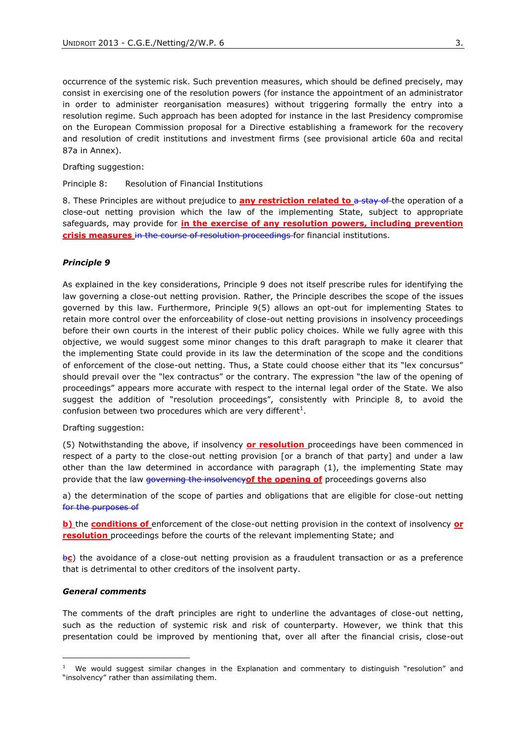occurrence of the systemic risk. Such prevention measures, which should be defined precisely, may consist in exercising one of the resolution powers (for instance the appointment of an administrator in order to administer reorganisation measures) without triggering formally the entry into a resolution regime. Such approach has been adopted for instance in the last Presidency compromise on the European Commission proposal for a Directive establishing a framework for the recovery and resolution of credit institutions and investment firms (see provisional article 60a and recital 87a in Annex).

Drafting suggestion:

Principle 8: Resolution of Financial Institutions

8. These Principles are without prejudice to **any restriction related to** a stay of the operation of a close-out netting provision which the law of the implementing State, subject to appropriate safeguards, may provide for **in the exercise of any resolution powers, including prevention crisis measures** in the course of resolution proceedings for financial institutions.

#### *Principle 9*

As explained in the key considerations, Principle 9 does not itself prescribe rules for identifying the law governing a close-out netting provision. Rather, the Principle describes the scope of the issues governed by this law. Furthermore, Principle 9(5) allows an opt-out for implementing States to retain more control over the enforceability of close-out netting provisions in insolvency proceedings before their own courts in the interest of their public policy choices. While we fully agree with this objective, we would suggest some minor changes to this draft paragraph to make it clearer that the implementing State could provide in its law the determination of the scope and the conditions of enforcement of the close-out netting. Thus, a State could choose either that its "lex concursus" should prevail over the "lex contractus" or the contrary. The expression "the law of the opening of proceedings" appears more accurate with respect to the internal legal order of the State. We also suggest the addition of "resolution proceedings", consistently with Principle 8, to avoid the confusion between two procedures which are very different<sup>1</sup>.

Drafting suggestion:

(5) Notwithstanding the above, if insolvency **or resolution** proceedings have been commenced in respect of a party to the close-out netting provision [or a branch of that party] and under a law other than the law determined in accordance with paragraph (1), the implementing State may provide that the law governing the insolvency**of the opening of** proceedings governs also

a) the determination of the scope of parties and obligations that are eligible for close-out netting for the purposes of

**b)** the **conditions of** enforcement of the close-out netting provision in the context of insolvency **or resolution** proceedings before the courts of the relevant implementing State; and

b**c**) the avoidance of a close-out netting provision as a fraudulent transaction or as a preference that is detrimental to other creditors of the insolvent party.

#### *General comments*

The comments of the draft principles are right to underline the advantages of close-out netting, such as the reduction of systemic risk and risk of counterparty. However, we think that this presentation could be improved by mentioning that, over all after the financial crisis, close-out

 $1$  We would suggest similar changes in the Explanation and commentary to distinguish "resolution" and "insolvency" rather than assimilating them.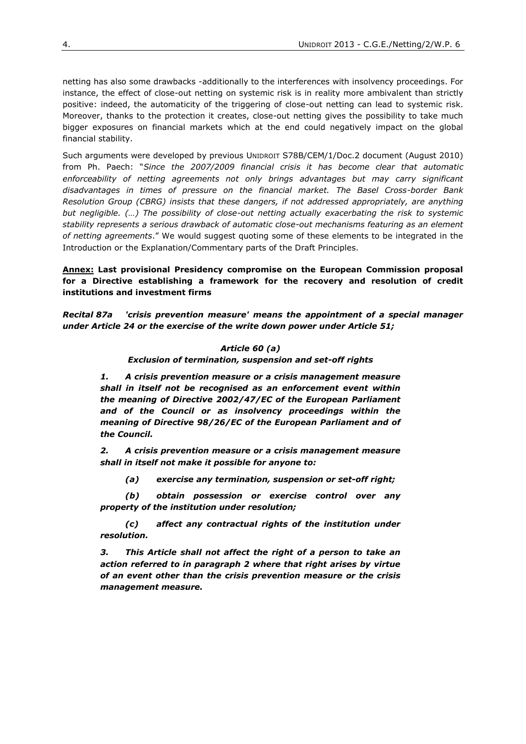netting has also some drawbacks -additionally to the interferences with insolvency proceedings. For instance, the effect of close-out netting on systemic risk is in reality more ambivalent than strictly positive: indeed, the automaticity of the triggering of close-out netting can lead to systemic risk. Moreover, thanks to the protection it creates, close-out netting gives the possibility to take much bigger exposures on financial markets which at the end could negatively impact on the global financial stability.

Such arguments were developed by previous UNIDROIT S78B/CEM/1/Doc.2 document (August 2010) from Ph. Paech: "*Since the 2007/2009 financial crisis it has become clear that automatic enforceability of netting agreements not only brings advantages but may carry significant disadvantages in times of pressure on the financial market. The Basel Cross-border Bank Resolution Group (CBRG) insists that these dangers, if not addressed appropriately, are anything but negligible. (…) The possibility of close-out netting actually exacerbating the risk to systemic stability represents a serious drawback of automatic close-out mechanisms featuring as an element of netting agreements*." We would suggest quoting some of these elements to be integrated in the Introduction or the Explanation/Commentary parts of the Draft Principles.

**Annex: Last provisional Presidency compromise on the European Commission proposal for a Directive establishing a framework for the recovery and resolution of credit institutions and investment firms** 

*Recital 87a 'crisis prevention measure' means the appointment of a special manager under Article 24 or the exercise of the write down power under Article 51;*

## *Article 60 (a)*

*Exclusion of termination, suspension and set-off rights*

*1. A crisis prevention measure or a crisis management measure shall in itself not be recognised as an enforcement event within the meaning of Directive 2002/47/EC of the European Parliament and of the Council or as insolvency proceedings within the meaning of Directive 98/26/EC of the European Parliament and of the Council.* 

*2. A crisis prevention measure or a crisis management measure shall in itself not make it possible for anyone to:*

*(a) exercise any termination, suspension or set-off right;* 

*(b) obtain possession or exercise control over any property of the institution under resolution;* 

*(c) affect any contractual rights of the institution under resolution.* 

*3. This Article shall not affect the right of a person to take an action referred to in paragraph 2 where that right arises by virtue of an event other than the crisis prevention measure or the crisis management measure.*